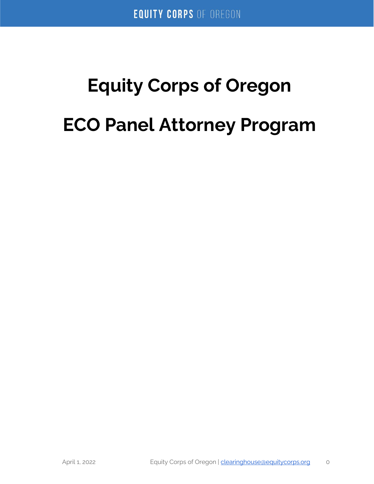# **Equity Corps of Oregon ECO Panel Attorney Program**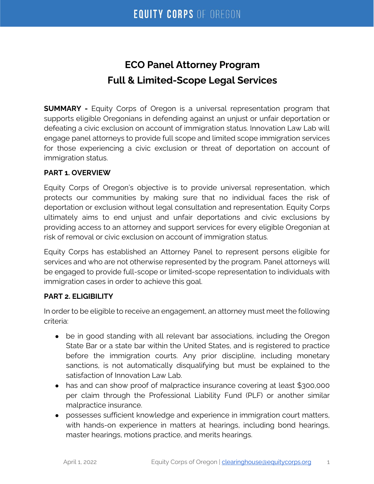# **ECO Panel Attorney Program Full & Limited-Scope Legal Services**

**SUMMARY -** Equity Corps of Oregon is a universal representation program that supports eligible Oregonians in defending against an unjust or unfair deportation or defeating a civic exclusion on account of immigration status. Innovation Law Lab will engage panel attorneys to provide full scope and limited scope immigration services for those experiencing a civic exclusion or threat of deportation on account of immigration status.

#### **PART 1. OVERVIEW**

Equity Corps of Oregon's objective is to provide universal representation, which protects our communities by making sure that no individual faces the risk of deportation or exclusion without legal consultation and representation. Equity Corps ultimately aims to end unjust and unfair deportations and civic exclusions by providing access to an attorney and support services for every eligible Oregonian at risk of removal or civic exclusion on account of immigration status.

Equity Corps has established an Attorney Panel to represent persons eligible for services and who are not otherwise represented by the program. Panel attorneys will be engaged to provide full-scope or limited-scope representation to individuals with immigration cases in order to achieve this goal.

#### **PART 2. ELIGIBILITY**

In order to be eligible to receive an engagement, an attorney must meet the following criteria:

- be in good standing with all relevant bar associations, including the Oregon State Bar or a state bar within the United States, and is registered to practice before the immigration courts. Any prior discipline, including monetary sanctions, is not automatically disqualifying but must be explained to the satisfaction of Innovation Law Lab.
- has and can show proof of malpractice insurance covering at least \$300,000 per claim through the Professional Liability Fund (PLF) or another similar malpractice insurance.
- possesses sufficient knowledge and experience in immigration court matters, with hands-on experience in matters at hearings, including bond hearings, master hearings, motions practice, and merits hearings.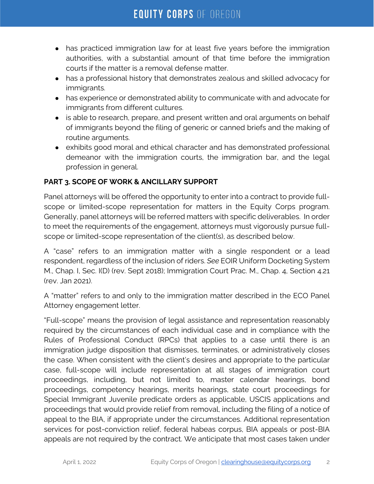- has practiced immigration law for at least five years before the immigration authorities, with a substantial amount of that time before the immigration courts if the matter is a removal defense matter.
- has a professional history that demonstrates zealous and skilled advocacy for immigrants.
- has experience or demonstrated ability to communicate with and advocate for immigrants from different cultures.
- is able to research, prepare, and present written and oral arguments on behalf of immigrants beyond the filing of generic or canned briefs and the making of routine arguments.
- exhibits good moral and ethical character and has demonstrated professional demeanor with the immigration courts, the immigration bar, and the legal profession in general.

# **PART 3. SCOPE OF WORK & ANCILLARY SUPPORT**

Panel attorneys will be offered the opportunity to enter into a contract to provide fullscope or limited-scope representation for matters in the Equity Corps program. Generally, panel attorneys will be referred matters with specific deliverables. In order to meet the requirements of the engagement, attorneys must vigorously pursue fullscope or limited-scope representation of the client(s), as described below.

A "case" refers to an immigration matter with a single respondent or a lead respondent, regardless of the inclusion of riders. *See* EOIR Uniform Docketing System M., Chap. I, Sec. I(D) (rev. Sept 2018); Immigration Court Prac. M., Chap. 4, Section 4.21 (rev. Jan 2021).

A "matter" refers to and only to the immigration matter described in the ECO Panel Attorney engagement letter.

"Full-scope" means the provision of legal assistance and representation reasonably required by the circumstances of each individual case and in compliance with the Rules of Professional Conduct (RPCs) that applies to a case until there is an immigration judge disposition that dismisses, terminates, or administratively closes the case. When consistent with the client's desires and appropriate to the particular case, full-scope will include representation at all stages of immigration court proceedings, including, but not limited to, master calendar hearings, bond proceedings, competency hearings, merits hearings, state court proceedings for Special Immigrant Juvenile predicate orders as applicable, USCIS applications and proceedings that would provide relief from removal, including the filing of a notice of appeal to the BIA, if appropriate under the circumstances. Additional representation services for post-conviction relief, federal habeas corpus, BIA appeals or post-BIA appeals are not required by the contract. We anticipate that most cases taken under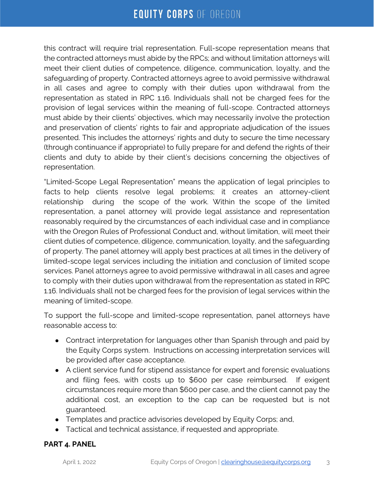this contract will require trial representation. Full-scope representation means that the contracted attorneys must abide by the RPCs; and without limitation attorneys will meet their client duties of competence, diligence, communication, loyalty, and the safeguarding of property. Contracted attorneys agree to avoid permissive withdrawal in all cases and agree to comply with their duties upon withdrawal from the representation as stated in RPC 1.16. Individuals shall not be charged fees for the provision of legal services within the meaning of full-scope. Contracted attorneys must abide by their clients' objectives, which may necessarily involve the protection and preservation of clients' rights to fair and appropriate adjudication of the issues presented. This includes the attorneys' rights and duty to secure the time necessary (through continuance if appropriate) to fully prepare for and defend the rights of their clients and duty to abide by their client's decisions concerning the objectives of representation.

"Limited-Scope Legal Representation" means the application of legal principles to facts to help clients resolve legal problems; it creates an attorney-client relationship during the scope of the work. Within the scope of the limited representation, a panel attorney will provide legal assistance and representation reasonably required by the circumstances of each individual case and in compliance with the Oregon Rules of Professional Conduct and, without limitation, will meet their client duties of competence, diligence, communication, loyalty, and the safeguarding of property. The panel attorney will apply best practices at all times in the delivery of limited-scope legal services including the initiation and conclusion of limited scope services. Panel attorneys agree to avoid permissive withdrawal in all cases and agree to comply with their duties upon withdrawal from the representation as stated in RPC 1.16. Individuals shall not be charged fees for the provision of legal services within the meaning of limited-scope.

To support the full-scope and limited-scope representation, panel attorneys have reasonable access to:

- Contract interpretation for languages other than Spanish through and paid by the Equity Corps system. Instructions on accessing interpretation services will be provided after case acceptance.
- A client service fund for stipend assistance for expert and forensic evaluations and filing fees, with costs up to \$600 per case reimbursed. If exigent circumstances require more than \$600 per case, and the client cannot pay the additional cost, an exception to the cap can be requested but is not guaranteed.
- Templates and practice advisories developed by Equity Corps; and,
- Tactical and technical assistance, if requested and appropriate.

#### **PART 4. PANEL**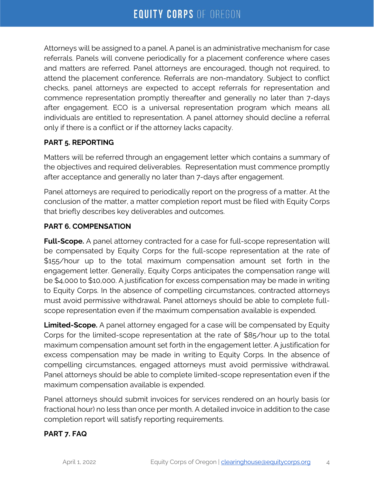Attorneys will be assigned to a panel. A panel is an administrative mechanism for case referrals. Panels will convene periodically for a placement conference where cases and matters are referred. Panel attorneys are encouraged, though not required, to attend the placement conference. Referrals are non-mandatory. Subject to conflict checks, panel attorneys are expected to accept referrals for representation and commence representation promptly thereafter and generally no later than 7-days after engagement. ECO is a universal representation program which means all individuals are entitled to representation. A panel attorney should decline a referral only if there is a conflict or if the attorney lacks capacity.

#### **PART 5. REPORTING**

Matters will be referred through an engagement letter which contains a summary of the objectives and required deliverables. Representation must commence promptly after acceptance and generally no later than 7-days after engagement.

Panel attorneys are required to periodically report on the progress of a matter. At the conclusion of the matter, a matter completion report must be filed with Equity Corps that briefly describes key deliverables and outcomes.

#### **PART 6. COMPENSATION**

**Full-Scope.** A panel attorney contracted for a case for full-scope representation will be compensated by Equity Corps for the full-scope representation at the rate of \$155/hour up to the total maximum compensation amount set forth in the engagement letter. Generally, Equity Corps anticipates the compensation range will be \$4,000 to \$10,000. A justification for excess compensation may be made in writing to Equity Corps. In the absence of compelling circumstances, contracted attorneys must avoid permissive withdrawal. Panel attorneys should be able to complete fullscope representation even if the maximum compensation available is expended.

**Limited-Scope.** A panel attorney engaged for a case will be compensated by Equity Corps for the limited-scope representation at the rate of \$85/hour up to the total maximum compensation amount set forth in the engagement letter. A justification for excess compensation may be made in writing to Equity Corps. In the absence of compelling circumstances, engaged attorneys must avoid permissive withdrawal. Panel attorneys should be able to complete limited-scope representation even if the maximum compensation available is expended.

Panel attorneys should submit invoices for services rendered on an hourly basis (or fractional hour) no less than once per month. A detailed invoice in addition to the case completion report will satisfy reporting requirements.

#### **PART 7. FAQ**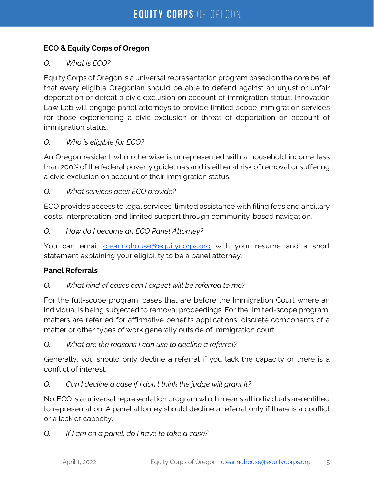# **ECO & Equity Corps of Oregon**

# *Q. What is ECO?*

Equity Corps of Oregon is a universal representation program based on the core belief that every eligible Oregonian should be able to defend against an unjust or unfair deportation or defeat a civic exclusion on account of immigration status. Innovation Law Lab will engage panel attorneys to provide limited scope immigration services for those experiencing a civic exclusion or threat of deportation on account of immigration status.

# *Q. Who is eligible for ECO?*

An Oregon resident who otherwise is unrepresented with a household income less than 200% of the federal poverty guidelines and is either at risk of removal or suffering a civic exclusion on account of their immigration status.

#### *Q. What services does ECO provide?*

ECO provides access to legal services, limited assistance with filing fees and ancillary costs, interpretation, and limited support through community-based navigation.

*Q. How do I become an ECO Panel Attorney?*

You can email clearinghouse@equitycorps.org with your resume and a short statement explaining your eligibility to be a panel attorney.

#### **Panel Referrals**

#### *Q. What kind of cases can I expect will be referred to me?*

For the full-scope program, cases that are before the Immigration Court where an individual is being subjected to removal proceedings. For the limited-scope program, matters are referred for affirmative benefits applications, discrete components of a matter or other types of work generally outside of immigration court.

#### *Q. What are the reasons I can use to decline a referral?*

Generally, you should only decline a referral if you lack the capacity or there is a conflict of interest.

#### *Q. Can I decline a case if I don't think the judge will grant it?*

No. ECO is a universal representation program which means all individuals are entitled to representation. A panel attorney should decline a referral only if there is a conflict or a lack of capacity.

*Q. If I am on a panel, do I have to take a case?*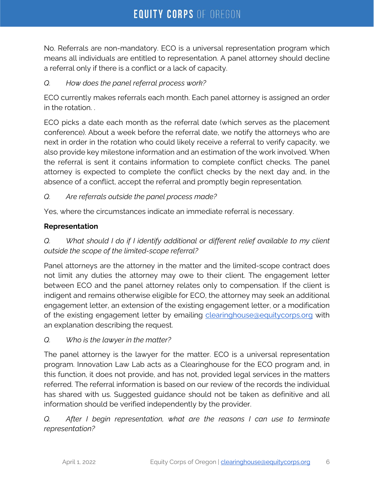No. Referrals are non-mandatory. ECO is a universal representation program which means all individuals are entitled to representation. A panel attorney should decline a referral only if there is a conflict or a lack of capacity.

#### *Q. How does the panel referral process work?*

ECO currently makes referrals each month. Each panel attorney is assigned an order in the rotation. .

ECO picks a date each month as the referral date (which serves as the placement conference). About a week before the referral date, we notify the attorneys who are next in order in the rotation who could likely receive a referral to verify capacity, we also provide key milestone information and an estimation of the work involved. When the referral is sent it contains information to complete conflict checks. The panel attorney is expected to complete the conflict checks by the next day and, in the absence of a conflict, accept the referral and promptly begin representation.

#### *Q. Are referrals outside the panel process made?*

Yes, where the circumstances indicate an immediate referral is necessary.

#### **Representation**

*Q. What should I do if I identify additional or different relief available to my client outside the scope of the limited-scope referral?*

Panel attorneys are the attorney in the matter and the limited-scope contract does not limit any duties the attorney may owe to their client. The engagement letter between ECO and the panel attorney relates only to compensation. If the client is indigent and remains otherwise eligible for ECO, the attorney may seek an additional engagement letter, an extension of the existing engagement letter, or a modification of the existing engagement letter by emailing clearinghouse@equitycorps.org with an explanation describing the request.

*Q. Who is the lawyer in the matter?*

The panel attorney is the lawyer for the matter. ECO is a universal representation program. Innovation Law Lab acts as a Clearinghouse for the ECO program and, in this function, it does not provide, and has not, provided legal services in the matters referred. The referral information is based on our review of the records the individual has shared with us. Suggested guidance should not be taken as definitive and all information should be verified independently by the provider.

#### *Q.* After I begin representation, what are the reasons I can use to terminate *representation?*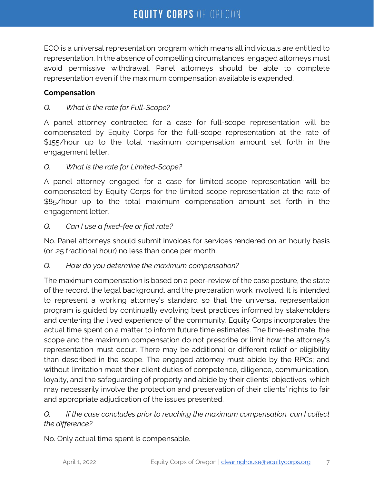ECO is a universal representation program which means all individuals are entitled to representation. In the absence of compelling circumstances, engaged attorneys must avoid permissive withdrawal. Panel attorneys should be able to complete representation even if the maximum compensation available is expended.

### **Compensation**

# *Q. What is the rate for Full-Scope?*

A panel attorney contracted for a case for full-scope representation will be compensated by Equity Corps for the full-scope representation at the rate of \$155/hour up to the total maximum compensation amount set forth in the engagement letter.

# *Q. What is the rate for Limited-Scope?*

A panel attorney engaged for a case for limited-scope representation will be compensated by Equity Corps for the limited-scope representation at the rate of \$85/hour up to the total maximum compensation amount set forth in the engagement letter.

# *Q. Can I use a fixed-fee or flat rate?*

No. Panel attorneys should submit invoices for services rendered on an hourly basis (or .25 fractional hour) no less than once per month.

#### *Q. How do you determine the maximum compensation?*

The maximum compensation is based on a peer-review of the case posture, the state of the record, the legal background, and the preparation work involved. It is intended to represent a working attorney's standard so that the universal representation program is guided by continually evolving best practices informed by stakeholders and centering the lived experience of the community. Equity Corps incorporates the actual time spent on a matter to inform future time estimates. The time-estimate, the scope and the maximum compensation do not prescribe or limit how the attorney's representation must occur. There may be additional or different relief or eligibility than described in the scope. The engaged attorney must abide by the RPCs; and without limitation meet their client duties of competence, diligence, communication, loyalty, and the safeguarding of property and abide by their clients' objectives, which may necessarily involve the protection and preservation of their clients' rights to fair and appropriate adjudication of the issues presented.

# *Q. If the case concludes prior to reaching the maximum compensation, can I collect the difference?*

No. Only actual time spent is compensable.